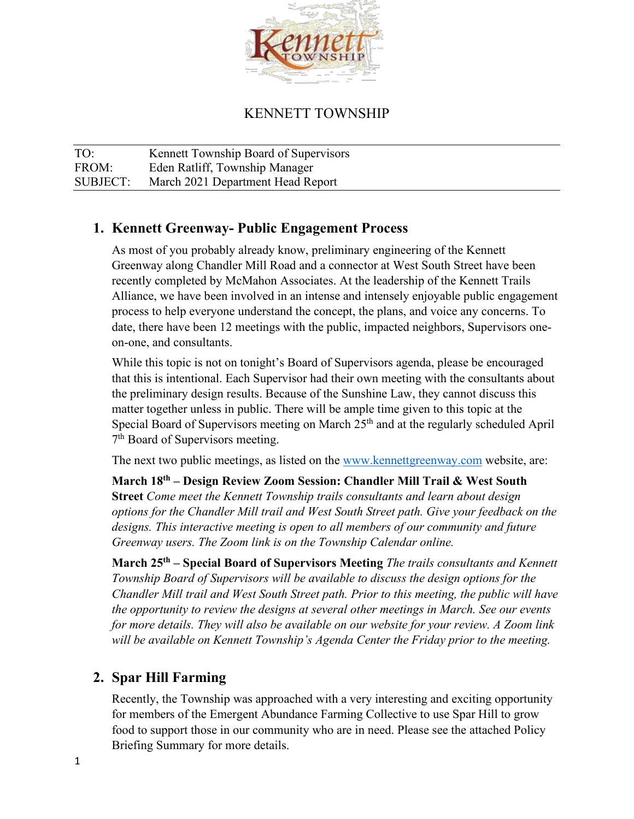

# KENNETT TOWNSHIP

TO: Kennett Township Board of Supervisors FROM: Eden Ratliff, Township Manager SUBJECT: March 2021 Department Head Report

# **1. Kennett Greenway- Public Engagement Process**

As most of you probably already know, preliminary engineering of the Kennett Greenway along Chandler Mill Road and a connector at West South Street have been recently completed by McMahon Associates. At the leadership of the Kennett Trails Alliance, we have been involved in an intense and intensely enjoyable public engagement process to help everyone understand the concept, the plans, and voice any concerns. To date, there have been 12 meetings with the public, impacted neighbors, Supervisors oneon-one, and consultants.

While this topic is not on tonight's Board of Supervisors agenda, please be encouraged that this is intentional. Each Supervisor had their own meeting with the consultants about the preliminary design results. Because of the Sunshine Law, they cannot discuss this matter together unless in public. There will be ample time given to this topic at the Special Board of Supervisors meeting on March 25<sup>th</sup> and at the regularly scheduled April 7<sup>th</sup> Board of Supervisors meeting.

The next two public meetings, as listed on the [www.kennettgreenway.com](http://www.kennettgreenway.com/) website, are:

**March 18th – Design Review Zoom Session: Chandler Mill Trail & West South Street** *Come meet the Kennett Township trails consultants and learn about design options for the Chandler Mill trail and West South Street path. Give your feedback on the*  designs. This interactive meeting is open to all members of our community and future *Greenway users. The Zoom link is on the Township Calendar online.*

**March 25th – Special Board of Supervisors Meeting** *The trails consultants and Kennett Township Board of Supervisors will be available to discuss the design options for the Chandler Mill trail and West South Street path. Prior to this meeting, the public will have the opportunity to review the designs at several other meetings in March. See our events for more details. They will also be available on our website for your review. A Zoom link will be available on Kennett Township's Agenda Center the Friday prior to the meeting.*

# **2. Spar Hill Farming**

Recently, the Township was approached with a very interesting and exciting opportunity for members of the Emergent Abundance Farming Collective to use Spar Hill to grow food to support those in our community who are in need. Please see the attached Policy Briefing Summary for more details.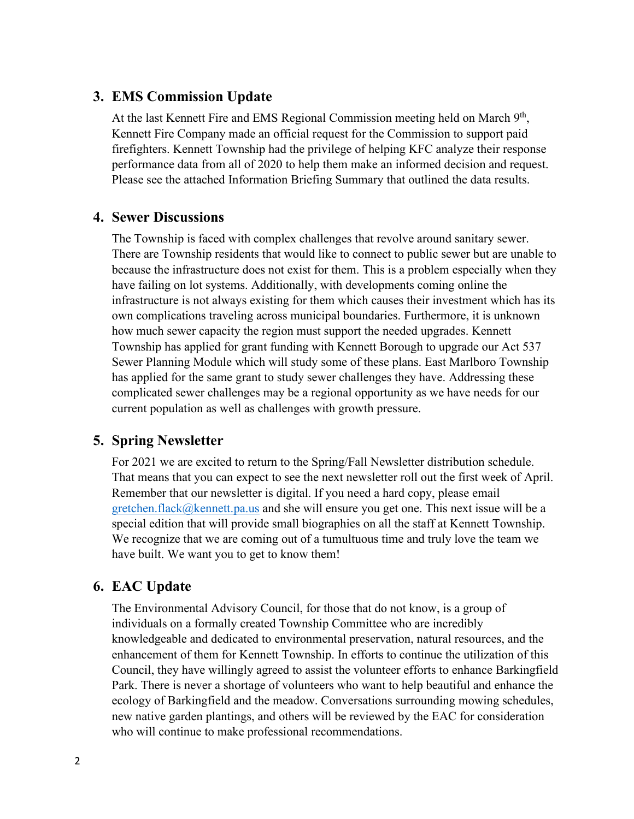# **3. EMS Commission Update**

At the last Kennett Fire and EMS Regional Commission meeting held on March  $9<sup>th</sup>$ , Kennett Fire Company made an official request for the Commission to support paid firefighters. Kennett Township had the privilege of helping KFC analyze their response performance data from all of 2020 to help them make an informed decision and request. Please see the attached Information Briefing Summary that outlined the data results.

# **4. Sewer Discussions**

The Township is faced with complex challenges that revolve around sanitary sewer. There are Township residents that would like to connect to public sewer but are unable to because the infrastructure does not exist for them. This is a problem especially when they have failing on lot systems. Additionally, with developments coming online the infrastructure is not always existing for them which causes their investment which has its own complications traveling across municipal boundaries. Furthermore, it is unknown how much sewer capacity the region must support the needed upgrades. Kennett Township has applied for grant funding with Kennett Borough to upgrade our Act 537 Sewer Planning Module which will study some of these plans. East Marlboro Township has applied for the same grant to study sewer challenges they have. Addressing these complicated sewer challenges may be a regional opportunity as we have needs for our current population as well as challenges with growth pressure.

# **5. Spring Newsletter**

For 2021 we are excited to return to the Spring/Fall Newsletter distribution schedule. That means that you can expect to see the next newsletter roll out the first week of April. Remember that our newsletter is digital. If you need a hard copy, please email [gretchen.flack@kennett.pa.us](mailto:gretchen.flack@kennett.pa.us) and she will ensure you get one. This next issue will be a special edition that will provide small biographies on all the staff at Kennett Township. We recognize that we are coming out of a tumultuous time and truly love the team we have built. We want you to get to know them!

# **6. EAC Update**

The Environmental Advisory Council, for those that do not know, is a group of individuals on a formally created Township Committee who are incredibly knowledgeable and dedicated to environmental preservation, natural resources, and the enhancement of them for Kennett Township. In efforts to continue the utilization of this Council, they have willingly agreed to assist the volunteer efforts to enhance Barkingfield Park. There is never a shortage of volunteers who want to help beautiful and enhance the ecology of Barkingfield and the meadow. Conversations surrounding mowing schedules, new native garden plantings, and others will be reviewed by the EAC for consideration who will continue to make professional recommendations.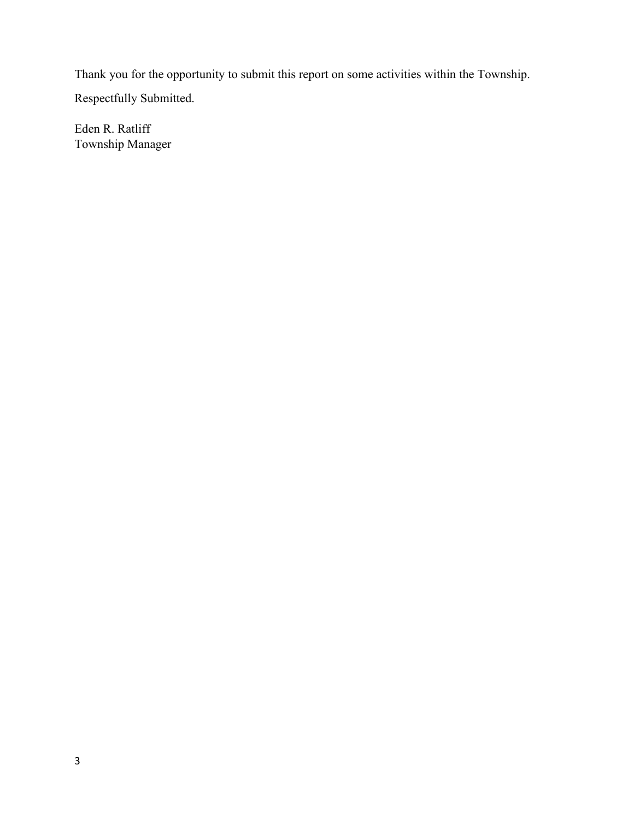Thank you for the opportunity to submit this report on some activities within the Township.

Respectfully Submitted.

Eden R. Ratliff Township Manager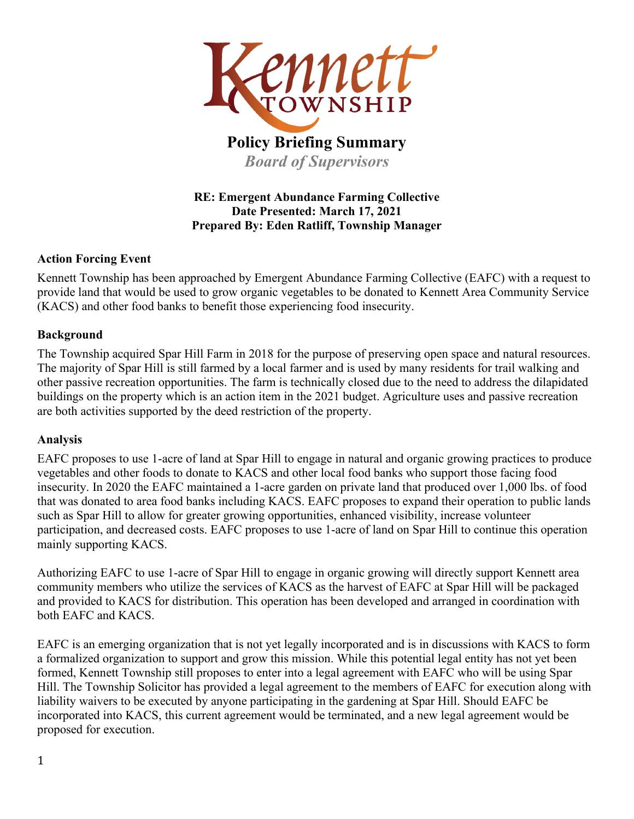

# **Policy Briefing Summary** *Board of Supervisors*

## **RE: Emergent Abundance Farming Collective Date Presented: March 17, 2021 Prepared By: Eden Ratliff, Township Manager**

## **Action Forcing Event**

Kennett Township has been approached by Emergent Abundance Farming Collective (EAFC) with a request to provide land that would be used to grow organic vegetables to be donated to Kennett Area Community Service (KACS) and other food banks to benefit those experiencing food insecurity.

## **Background**

The Township acquired Spar Hill Farm in 2018 for the purpose of preserving open space and natural resources. The majority of Spar Hill is still farmed by a local farmer and is used by many residents for trail walking and other passive recreation opportunities. The farm is technically closed due to the need to address the dilapidated buildings on the property which is an action item in the 2021 budget. Agriculture uses and passive recreation are both activities supported by the deed restriction of the property.

# **Analysis**

EAFC proposes to use 1-acre of land at Spar Hill to engage in natural and organic growing practices to produce vegetables and other foods to donate to KACS and other local food banks who support those facing food insecurity. In 2020 the EAFC maintained a 1-acre garden on private land that produced over 1,000 lbs. of food that was donated to area food banks including KACS. EAFC proposes to expand their operation to public lands such as Spar Hill to allow for greater growing opportunities, enhanced visibility, increase volunteer participation, and decreased costs. EAFC proposes to use 1-acre of land on Spar Hill to continue this operation mainly supporting KACS.

Authorizing EAFC to use 1-acre of Spar Hill to engage in organic growing will directly support Kennett area community members who utilize the services of KACS as the harvest of EAFC at Spar Hill will be packaged and provided to KACS for distribution. This operation has been developed and arranged in coordination with both EAFC and KACS.

EAFC is an emerging organization that is not yet legally incorporated and is in discussions with KACS to form a formalized organization to support and grow this mission. While this potential legal entity has not yet been formed, Kennett Township still proposes to enter into a legal agreement with EAFC who will be using Spar Hill. The Township Solicitor has provided a legal agreement to the members of EAFC for execution along with liability waivers to be executed by anyone participating in the gardening at Spar Hill. Should EAFC be incorporated into KACS, this current agreement would be terminated, and a new legal agreement would be proposed for execution.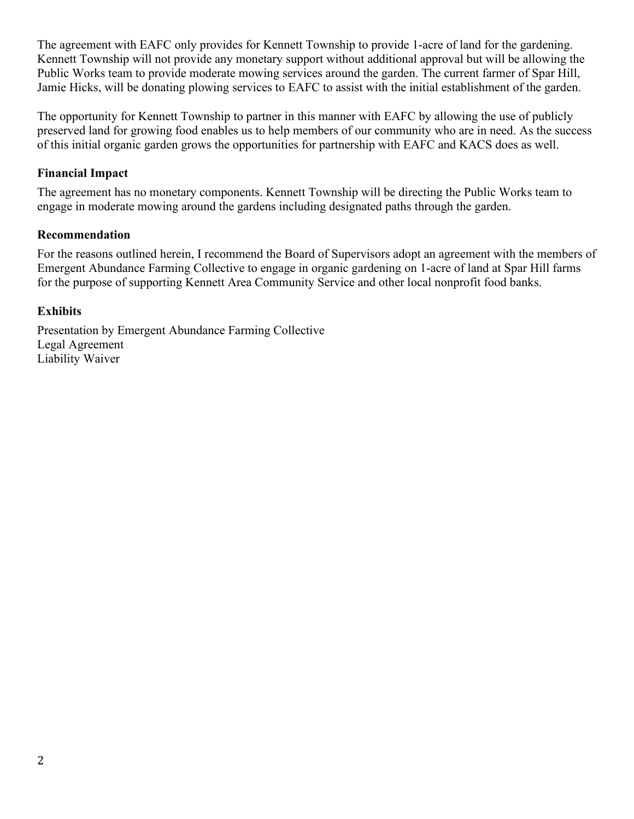The agreement with EAFC only provides for Kennett Township to provide 1-acre of land for the gardening. Kennett Township will not provide any monetary support without additional approval but will be allowing the Public Works team to provide moderate mowing services around the garden. The current farmer of Spar Hill, Jamie Hicks, will be donating plowing services to EAFC to assist with the initial establishment of the garden.

The opportunity for Kennett Township to partner in this manner with EAFC by allowing the use of publicly preserved land for growing food enables us to help members of our community who are in need. As the success of this initial organic garden grows the opportunities for partnership with EAFC and KACS does as well.

## **Financial Impact**

The agreement has no monetary components. Kennett Township will be directing the Public Works team to engage in moderate mowing around the gardens including designated paths through the garden.

### **Recommendation**

For the reasons outlined herein, I recommend the Board of Supervisors adopt an agreement with the members of Emergent Abundance Farming Collective to engage in organic gardening on 1-acre of land at Spar Hill farms for the purpose of supporting Kennett Area Community Service and other local nonprofit food banks.

## **Exhibits**

Presentation by Emergent Abundance Farming Collective Legal Agreement Liability Waiver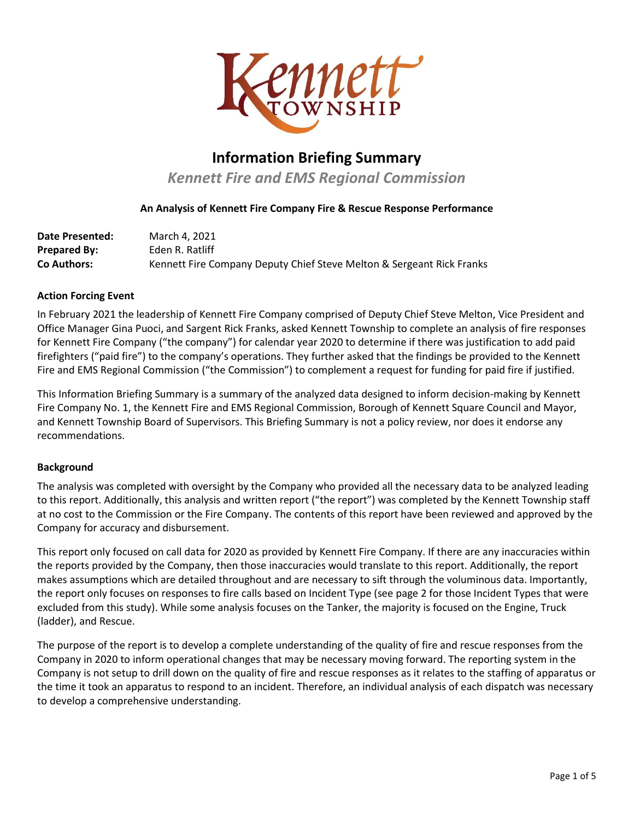

# **Information Briefing Summary**

*Kennett Fire and EMS Regional Commission* 

### **An Analysis of Kennett Fire Company Fire & Rescue Response Performance**

| <b>Date Presented:</b> | March 4, 2021                                                         |
|------------------------|-----------------------------------------------------------------------|
| Prepared By:           | Eden R. Ratliff                                                       |
| Co Authors:            | Kennett Fire Company Deputy Chief Steve Melton & Sergeant Rick Franks |

#### **Action Forcing Event**

In February 2021 the leadership of Kennett Fire Company comprised of Deputy Chief Steve Melton, Vice President and Office Manager Gina Puoci, and Sargent Rick Franks, asked Kennett Township to complete an analysis of fire responses for Kennett Fire Company ("the company") for calendar year 2020 to determine if there was justification to add paid firefighters ("paid fire") to the company's operations. They further asked that the findings be provided to the Kennett Fire and EMS Regional Commission ("the Commission") to complement a request for funding for paid fire if justified.

This Information Briefing Summary is a summary of the analyzed data designed to inform decision-making by Kennett Fire Company No. 1, the Kennett Fire and EMS Regional Commission, Borough of Kennett Square Council and Mayor, and Kennett Township Board of Supervisors. This Briefing Summary is not a policy review, nor does it endorse any recommendations.

#### **Background**

The analysis was completed with oversight by the Company who provided all the necessary data to be analyzed leading to this report. Additionally, this analysis and written report ("the report") was completed by the Kennett Township staff at no cost to the Commission or the Fire Company. The contents of this report have been reviewed and approved by the Company for accuracy and disbursement.

This report only focused on call data for 2020 as provided by Kennett Fire Company. If there are any inaccuracies within the reports provided by the Company, then those inaccuracies would translate to this report. Additionally, the report makes assumptions which are detailed throughout and are necessary to sift through the voluminous data. Importantly, the report only focuses on responses to fire calls based on Incident Type (see page 2 for those Incident Types that were excluded from this study). While some analysis focuses on the Tanker, the majority is focused on the Engine, Truck (ladder), and Rescue.

The purpose of the report is to develop a complete understanding of the quality of fire and rescue responses from the Company in 2020 to inform operational changes that may be necessary moving forward. The reporting system in the Company is not setup to drill down on the quality of fire and rescue responses as it relates to the staffing of apparatus or the time it took an apparatus to respond to an incident. Therefore, an individual analysis of each dispatch was necessary to develop a comprehensive understanding.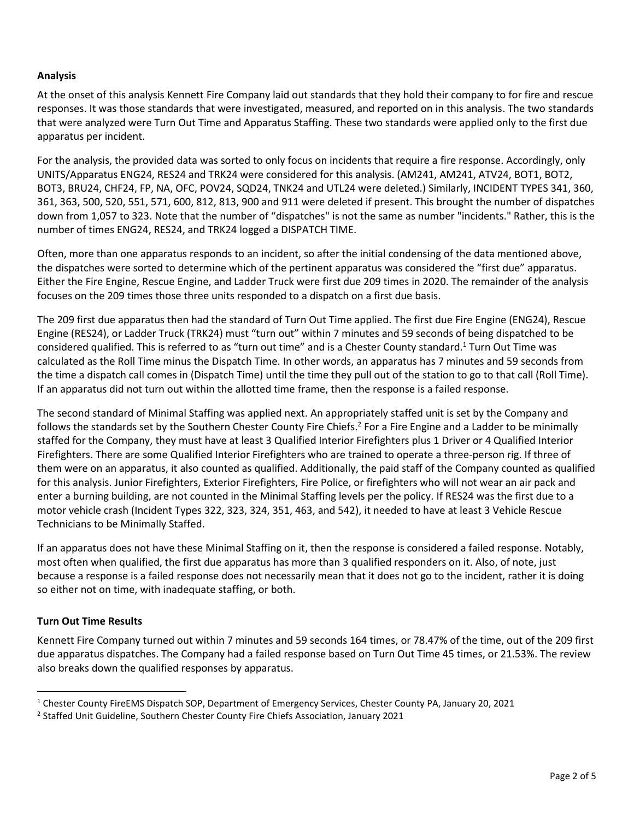### **Analysis**

At the onset of this analysis Kennett Fire Company laid out standards that they hold their company to for fire and rescue responses. It was those standards that were investigated, measured, and reported on in this analysis. The two standards that were analyzed were Turn Out Time and Apparatus Staffing. These two standards were applied only to the first due apparatus per incident.

For the analysis, the provided data was sorted to only focus on incidents that require a fire response. Accordingly, only UNITS/Apparatus ENG24, RES24 and TRK24 were considered for this analysis. (AM241, AM241, ATV24, BOT1, BOT2, BOT3, BRU24, CHF24, FP, NA, OFC, POV24, SQD24, TNK24 and UTL24 were deleted.) Similarly, INCIDENT TYPES 341, 360, 361, 363, 500, 520, 551, 571, 600, 812, 813, 900 and 911 were deleted if present. This brought the number of dispatches down from 1,057 to 323. Note that the number of "dispatches" is not the same as number "incidents." Rather, this is the number of times ENG24, RES24, and TRK24 logged a DISPATCH TIME.

Often, more than one apparatus responds to an incident, so after the initial condensing of the data mentioned above, the dispatches were sorted to determine which of the pertinent apparatus was considered the "first due" apparatus. Either the Fire Engine, Rescue Engine, and Ladder Truck were first due 209 times in 2020. The remainder of the analysis focuses on the 209 times those three units responded to a dispatch on a first due basis.

The 209 first due apparatus then had the standard of Turn Out Time applied. The first due Fire Engine (ENG24), Rescue Engine (RES24), or Ladder Truck (TRK24) must "turn out" within 7 minutes and 59 seconds of being dispatched to be considered qualified. This is referred to as "turn out time" and is a Chester County standard.<sup>1</sup> Turn Out Time was calculated as the Roll Time minus the Dispatch Time. In other words, an apparatus has 7 minutes and 59 seconds from the time a dispatch call comes in (Dispatch Time) until the time they pull out of the station to go to that call (Roll Time). If an apparatus did not turn out within the allotted time frame, then the response is a failed response.

The second standard of Minimal Staffing was applied next. An appropriately staffed unit is set by the Company and follows the standards set by the Southern Chester County Fire Chiefs.<sup>2</sup> For a Fire Engine and a Ladder to be minimally staffed for the Company, they must have at least 3 Qualified Interior Firefighters plus 1 Driver or 4 Qualified Interior Firefighters. There are some Qualified Interior Firefighters who are trained to operate a three-person rig. If three of them were on an apparatus, it also counted as qualified. Additionally, the paid staff of the Company counted as qualified for this analysis. Junior Firefighters, Exterior Firefighters, Fire Police, or firefighters who will not wear an air pack and enter a burning building, are not counted in the Minimal Staffing levels per the policy. If RES24 was the first due to a motor vehicle crash (Incident Types 322, 323, 324, 351, 463, and 542), it needed to have at least 3 Vehicle Rescue Technicians to be Minimally Staffed.

If an apparatus does not have these Minimal Staffing on it, then the response is considered a failed response. Notably, most often when qualified, the first due apparatus has more than 3 qualified responders on it. Also, of note, just because a response is a failed response does not necessarily mean that it does not go to the incident, rather it is doing so either not on time, with inadequate staffing, or both.

#### **Turn Out Time Results**

Kennett Fire Company turned out within 7 minutes and 59 seconds 164 times, or 78.47% of the time, out of the 209 first due apparatus dispatches. The Company had a failed response based on Turn Out Time 45 times, or 21.53%. The review also breaks down the qualified responses by apparatus.

<sup>1</sup> Chester County FireEMS Dispatch SOP, Department of Emergency Services, Chester County PA, January 20, 2021

<sup>&</sup>lt;sup>2</sup> Staffed Unit Guideline, Southern Chester County Fire Chiefs Association, January 2021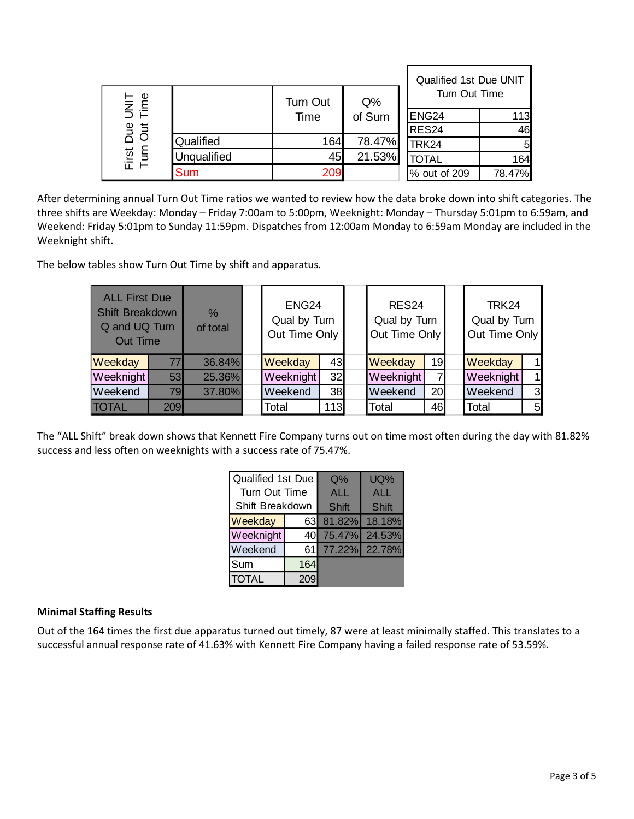|                                               |             |                  |                 | Qualified 1st Due UNIT<br>Turn Out Time |          |
|-----------------------------------------------|-------------|------------------|-----------------|-----------------------------------------|----------|
| Φ<br>mi<br>S E<br>But<br>Out<br>First<br>Turn |             | Turn Out<br>Time | $Q\%$<br>of Sum | ENG <sub>24</sub>                       | 113      |
|                                               |             |                  |                 | <b>RES24</b>                            | 46       |
|                                               | Qualified   | 164              | 78.47%          | <b>TRK24</b>                            | $5 \mid$ |
|                                               | Unqualified | 45               | 21.53%          | <b>TOTAL</b>                            | 164      |
|                                               | Sum         | 209              |                 | % out of 209                            | 78.47%   |

After determining annual Turn Out Time ratios we wanted to review how the data broke down into shift categories. The three shifts are Weekday: Monday – Friday 7:00am to 5:00pm, Weeknight: Monday – Thursday 5:01pm to 6:59am, and Weekend: Friday 5:01pm to Sunday 11:59pm. Dispatches from 12:00am Monday to 6:59am Monday are included in the Weeknight shift.

The below tables show Turn Out Time by shift and apparatus.

|              | <b>ALL First Due</b><br>Shift Breakdown<br>Q and UQ Turn<br>Out Time |        | ENG <sub>24</sub><br>Qual by Turn<br>Out Time Only |     | RES <sub>24</sub><br>Qual by Turn<br>Out Time Only |                | TRK24<br>Qual by Turn<br>Out Time Only |              |
|--------------|----------------------------------------------------------------------|--------|----------------------------------------------------|-----|----------------------------------------------------|----------------|----------------------------------------|--------------|
| Weekday      | 77                                                                   | 36.84% | Weekday                                            | 43  | Weekday                                            | 19             | Weekday                                | $\mathbf 1$  |
| Weeknight    | 53                                                                   | 25.36% | Weeknight                                          | 32  | Weeknight                                          | $\overline{7}$ | Weeknight                              | $\mathbf{1}$ |
| Weekend      | 79                                                                   | 37.80% | Weekend<br>38                                      |     | Weekend                                            | 20             | Weekend                                | 3            |
| <b>TOTAL</b> | <b>209</b>                                                           |        | Total                                              | 113 | Total                                              | 46             | <b>Total</b>                           | 5            |

The "ALL Shift" break down shows that Kennett Fire Company turns out on time most often during the day with 81.82% success and less often on weeknights with a success rate of 75.47%.

| Qualified 1st Due |     | $Q\%$            | UQ%           |
|-------------------|-----|------------------|---------------|
| Turn Out Time     |     | <b>ALL</b>       | <b>ALL</b>    |
| Shift Breakdown   |     | Shift            | Shift         |
| Weekday           |     | 63 81.82% 18.18% |               |
| Weeknight         | 40  | 75.47%           | 24.53%        |
| Weekend           | 61  |                  | 77.22% 22.78% |
| Sum               | 164 |                  |               |
| <b>TOTAL</b>      |     |                  |               |

#### **Minimal Staffing Results**

Out of the 164 times the first due apparatus turned out timely, 87 were at least minimally staffed. This translates to a successful annual response rate of 41.63% with Kennett Fire Company having a failed response rate of 53.59%.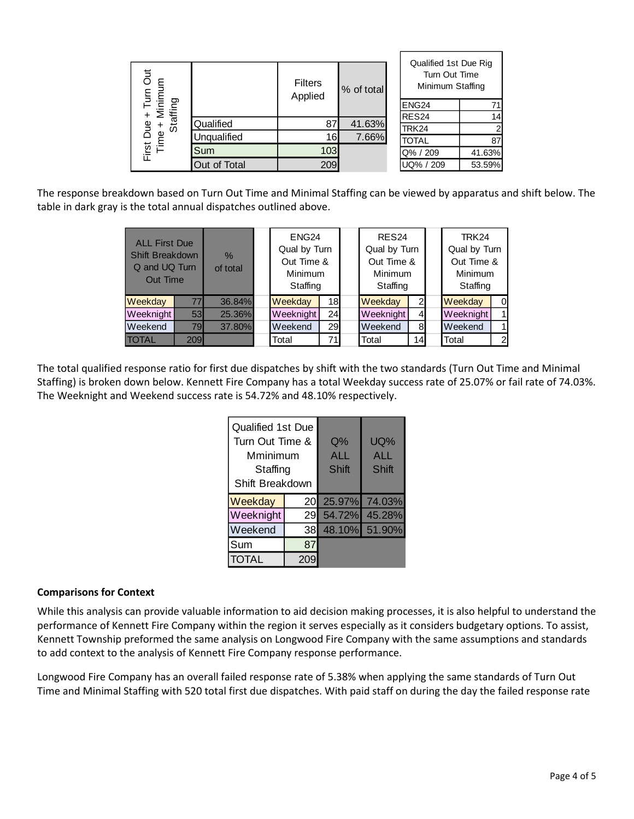| Due + Turn Out<br>e + Minimum<br>Staffing |              | <b>Filters</b><br>Applied | % of total | Qualified 1st Due Rig<br>Turn Out Time<br>Minimum Staffing |        |
|-------------------------------------------|--------------|---------------------------|------------|------------------------------------------------------------|--------|
|                                           |              |                           |            | ENG <sub>24</sub>                                          |        |
|                                           |              |                           |            | RES <sub>24</sub>                                          | 14     |
| <b>Bue</b>                                | Qualified    | 87                        | 41.63%     | TRK24                                                      |        |
| First Du<br>Time                          | Unqualified  | 16                        | 7.66%      | <b>TOTAL</b>                                               | 87     |
|                                           | Sum          | 103                       |            | Q% / 209                                                   | 41.63% |
|                                           | Out of Total | 209                       |            | UQ% / 209                                                  | 53.59% |

The response breakdown based on Turn Out Time and Minimal Staffing can be viewed by apparatus and shift below. The table in dark gray is the total annual dispatches outlined above.

|              | <b>ALL First Due</b><br>Shift Breakdown<br>Q and UQ Turn<br>Out Time |        | ENG <sub>24</sub><br>Qual by Turn<br>Out Time &<br>Minimum<br>Staffing |                 |              | RES <sub>24</sub><br>Qual by Turn<br>Out Time &<br>Minimum<br>Staffing |                | TRK24<br>Qual by Turn<br>Out Time &<br>Minimum<br>Staffing |                |
|--------------|----------------------------------------------------------------------|--------|------------------------------------------------------------------------|-----------------|--------------|------------------------------------------------------------------------|----------------|------------------------------------------------------------|----------------|
| Weekday      | 77                                                                   | 36.84% | Weekday                                                                | 18 <sub>l</sub> |              | Weekday<br>$\overline{2}$                                              |                | Weekday                                                    | $\Omega$       |
| Weeknight    | 53                                                                   | 25.36% | Weeknight                                                              | 24              |              | Weeknight                                                              | $\overline{4}$ | Weeknight                                                  | 1              |
| Weekend      | 79                                                                   | 37.80% | Weekend<br>29                                                          |                 | Weekend<br>8 |                                                                        | Weekend        | 1                                                          |                |
| <b>TOTAL</b> | 209                                                                  |        | Total                                                                  | 71              |              | Total                                                                  | 14             | Total                                                      | $\overline{2}$ |

The total qualified response ratio for first due dispatches by shift with the two standards (Turn Out Time and Minimal Staffing) is broken down below. Kennett Fire Company has a total Weekday success rate of 25.07% or fail rate of 74.03%. The Weeknight and Weekend success rate is 54.72% and 48.10% respectively.

| Qualified 1st Due<br>Turn Out Time &<br>Mminimum<br>Staffing<br>Shift Breakdown |    | $Q\%$<br><b>ALL</b><br>Shift | UQ%<br><b>ALL</b><br>Shift |
|---------------------------------------------------------------------------------|----|------------------------------|----------------------------|
| Weekday                                                                         | 20 | 25.97%                       | 74.03%                     |
| Weeknight                                                                       | 29 | 54.72%                       | 45.28%                     |
| Weekend                                                                         | 38 | 48.10%                       | 51.90%                     |
| Sum                                                                             | 87 |                              |                            |
| TOTAL                                                                           |    |                              |                            |

#### **Comparisons for Context**

While this analysis can provide valuable information to aid decision making processes, it is also helpful to understand the performance of Kennett Fire Company within the region it serves especially as it considers budgetary options. To assist, Kennett Township preformed the same analysis on Longwood Fire Company with the same assumptions and standards to add context to the analysis of Kennett Fire Company response performance.

Longwood Fire Company has an overall failed response rate of 5.38% when applying the same standards of Turn Out Time and Minimal Staffing with 520 total first due dispatches. With paid staff on during the day the failed response rate